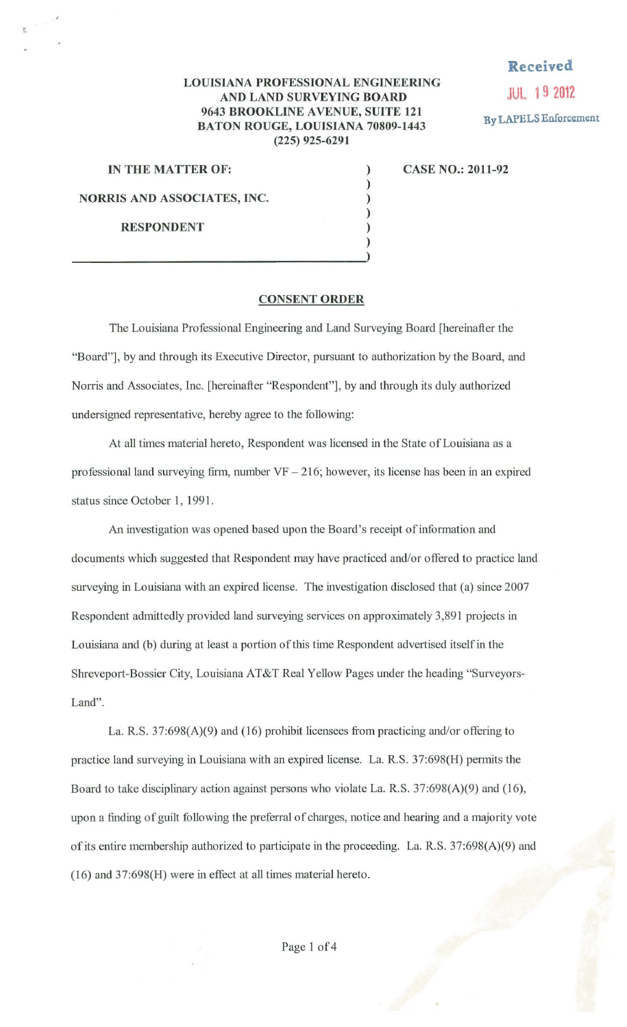## **Received**

**JUL 19 2012 By LAPELS Enforcement** 

## **LOUISIANA PROFESSIONAL ENGINEERING AND LAND SURVEYING BOARD 9643 BROOKLINE AVENUE, SUITE 121 BATON ROUGE, LOUISIANA 70809-1443 (225) 925-6291**

) ) ) ) ) )

**IN THE MATTER OF: NORRIS AND ASSOCIATES, INC. RESPONDENT** 

**CASE NO.: 2011-92** 

## **CONSENT ORDER**

The Louisiana Professional Engineering and Land Surveying Board [hereinafter the "Board"], by and through its Executive Director, pursuant to authorization by the Board, and Norris and Associates, Inc. [hereinafter "Respondent"], by and through its duly authorized undersigned representative, hereby agree to the following:

At all times material hereto, Respondent was licensed in the State of Louisiana as a professional land surveying firm, number  $VF - 216$ ; however, its license has been in an expired status since October 1, 1991.

An investigation was opened based upon the Board's receipt of information and documents which suggested that Respondent may have practiced and/or offered to practice land surveying in Louisiana with an expired license. The investigation disclosed that (a) since 2007 Respondent admittedly provided land surveying services on approximately 3,891 projects in Louisiana and (b) during at least a portion of this time Respondent advertised itself in the Shreveport-Bossier City, Louisiana AT&T Real Yellow Pages under the heading "Surveyors-Land".

La. R.S. 37:698(A)(9) and (16) prohibit licensees fiom practicing and/or offering to practice land surveying in Louisiana with an expired license. La. R.S. 37:698(H) permits the Board to take disciplinary action against persons who violate La. R.S. 37:698(A)(9) and (16), upon a finding of guilt following the preferral of charges, notice and hearing and a majority vote of its entire membership authorized to participate in the proceeding. La. R.S. 37:698(A)(9) and (16) and 37:698(H) were in effect at all times material hereto.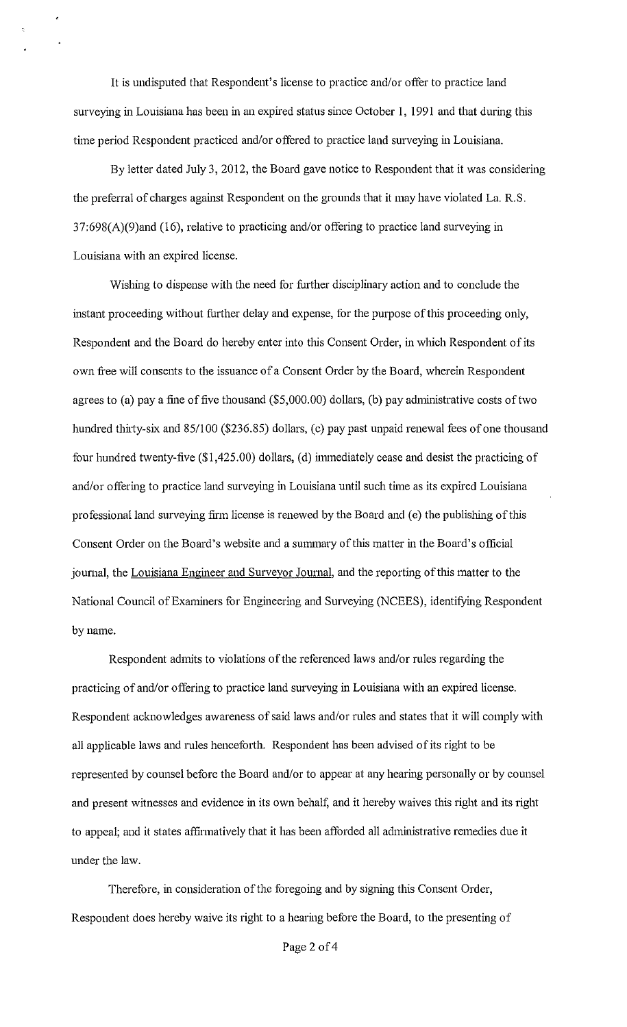It is undisputed that Respondent's license to practice and/or offer to practice land surveying in Louisiana has been in an expired status since October 1, 1991 and that during this time period Respondent practiced and/or offered to practice land surveying in Louisiana.

By letter dated July 3, 2012, the Board gave notice to Respondent that it was considering the preferral of charges against Respondent on the grounds that it may have violated La. R.S. 37:698(A)(9)and (16), relative to practicing and/or offering to practice land surveying in Louisiana with an expired license.

Wishing to dispense with the need for further disciplinary action and to conclude the instant proceeding without further delay and expense, for the purpose of this proceeding only, Respondent and the Board do hereby enter into this Consent Order, in which Respondent of its own free will consents to the issuance of a Consent Order by the Board, wherein Respondent agrees to (a) pay a fine of five thousand (\$5,000.00) dollars, (b) pay administrative costs of two hundred thirty-six and 85/100 (\$236.85) dollars, (c) pay past unpaid renewal fees of one thousand four hundred twenty-five (\$1,425.00) dollars, (d) immediately cease and desist the practicing of and/or offering to practice land surveying in Louisiana until such time as its expired Louisiana professional land surveying firm license is renewed by the Board and (e) the publishing of this Consent Order on the Board's website and a summary of this matter in the Board's official journal, the Louisiana Engineer and Surveyor Journal, and the reporting of this matter to the National Council of Examiners for Engineering and Surveying (NCEES), identifying Respondent by name.

Respondent admits to violations of the referenced laws and/or rules regarding the practicing of and/or offering to practice land surveying in Louisiana with an expired license. Respondent acknowledges awareness of said laws and/or rules and states that it will comply with all applicable laws and rules henceforth. Respondent has been advised of its right to be represented by counsel before the Board and/or to appear at any hearing personally or by counsel and present witnesses and evidence in its own behalf, and it hereby waives this right and its right to appeal; and it states affirmatively that it has been afforded all administrative remedies due it under the law.

Therefore, in consideration of the foregoing and by signing this Consent Order, Respondent does hereby waive its right to a hearing before the Board, to the presenting of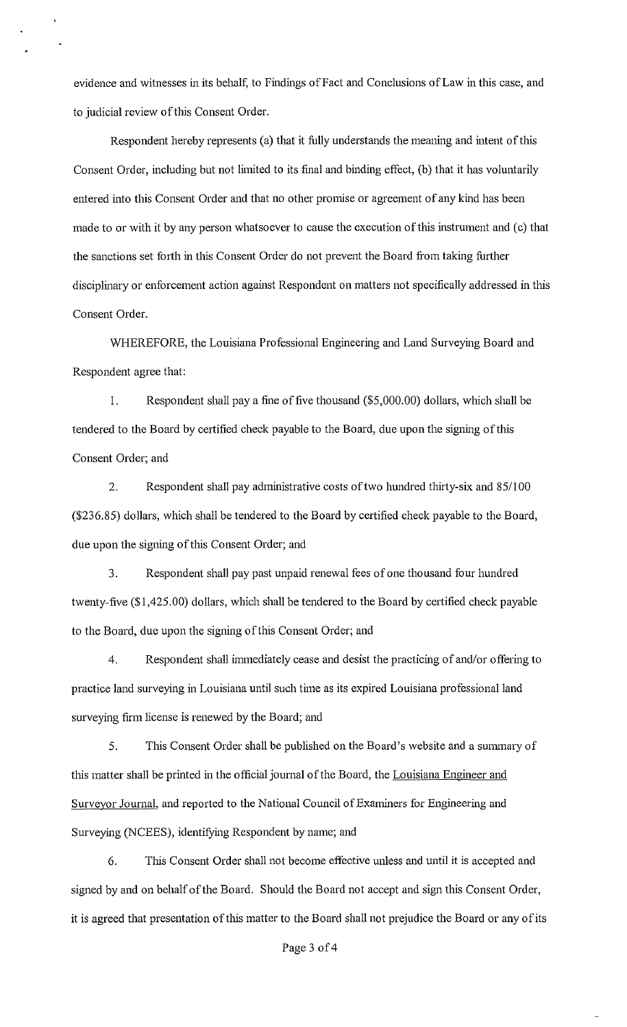evidence and witnesses in its behalf, to Findings of Fact and Conclusions of Law in this case, and to judicial review of this Consent Order.

Respondent hereby represents (a) that it fully understands the meaning and intent of this Consent Order, including but not limited to its final and binding effect, (b) that it has voluntarily entered into this Consent Order and that no other promise or agreement of any kind has been made to or with it by any person whatsoever to cause the execution of this instrument and (c) that the sanctions set forth in this Consent Order do not prevent the Board from taking further disciplinary or enforcement action against Respondent on matters not specifically addressed in this Consent Order.

WHEREFORE, the Louisiana Professional Engineering and Land Surveying Board and Respondent agree that:

1. Respondent shall pay a fine of five thousand (\$5,000.00) dollars, which shall be tendered to the Board by certified check payable to the Board, due upon the signing of this Consent Order; and

2. Respondent shall pay administrative costs of two hundred thirty-six and 85/100 (\$236.85) dollars, which shall be tendered to the Board by certified check payable to the Board, due upon the signing of this Consent Order; and

3. Respondent shall pay past unpaid renewal fees of one thousand four hundred twenty-five (\$1,425.00) dollars, which shall be tendered to the Board by certified check payable to the Board, due upon the signing of this Consent Order; and

4. Respondent shall immediately cease and desist the practicing of and/or offering to practice land surveying in Louisiana until such time as its expired Louisiana professional land surveying firm license is renewed by the Board; and

5. This Consent Order shall be published on the Board's website and a summary of this matter shall be printed in the official journal of the Board, the Louisiana Engineer and Surveyor Journal, and reported to the National Council of Examiners for Engineering and Surveying (NCEES), identifying Respondent by name; and

6. Tins Consent Order shall not become effective unless and until it is accepted and signed by and on behalf of the Board. Should the Board not accept and sign this Consent Order, it is agreed that presentation of this matter to the Board shall not prejudice the Board or any of its